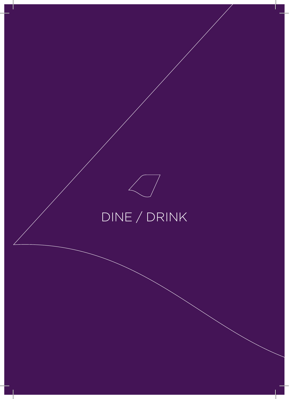## DINE / DRINK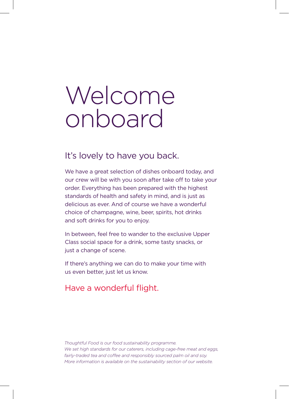# Welcome onboard

### It's lovely to have you back.

We have a great selection of dishes onboard today, and our crew will be with you soon after take off to take your order. Everything has been prepared with the highest standards of health and safety in mind, and is just as delicious as ever. And of course we have a wonderful choice of champagne, wine, beer, spirits, hot drinks and soft drinks for you to enjoy.

In between, feel free to wander to the exclusive Upper Class social space for a drink, some tasty snacks, or just a change of scene.

If there's anything we can do to make your time with us even better, just let us know.

### Have a wonderful flight.

*Thoughtful Food is our food sustainability programme. We set high standards for our caterers, including cage-free meat and eggs, fairly-traded tea and coffee and responsibly sourced palm oil and soy. More information is available on the sustainability section of our website.*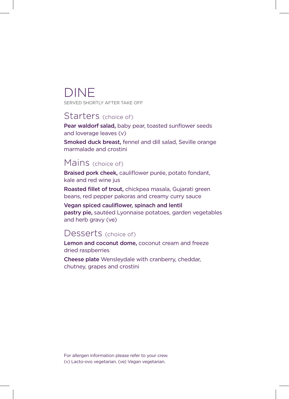## DINE

SERVED SHORTLY AFTER TAKE OFF

### Starters (choice of)

Pear waldorf salad, baby pear, toasted sunflower seeds and loverage leaves (v)

Smoked duck breast, fennel and dill salad, Seville orange marmalade and crostini

### Mains (choice of)

Braised pork cheek, cauliflower purée, potato fondant, kale and red wine jus

Roasted fillet of trout, chickpea masala, Gujarati green beans, red pepper pakoras and creamy curry sauce

Vegan spiced cauliflower, spinach and lentil pastry pie, sautéed Lyonnaise potatoes, garden vegetables and herb gravy (ve)

### Desserts (choice of)

Lemon and coconut dome, coconut cream and freeze dried raspberries

Cheese plate Wensleydale with cranberry, cheddar, chutney, grapes and crostini

For allergen information please refer to your crew. (v) Lacto-ovo vegetarian. (ve) Vegan vegetarian.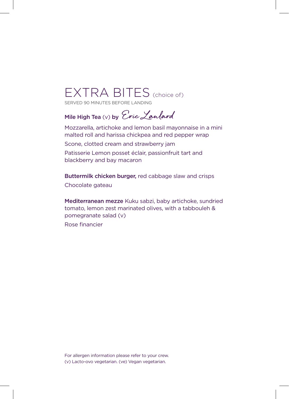## EXTRA BITES (choice of)

SERVED 90 MINUTES BEFORE LANDING

### Mile High Tea (v) by Cric Lanlard

Mozzarella, artichoke and lemon basil mayonnaise in a mini malted roll and harissa chickpea and red pepper wrap Scone, clotted cream and strawberry jam Patisserie Lemon posset éclair, passionfruit tart and blackberry and bay macaron

Buttermilk chicken burger, red cabbage slaw and crisps Chocolate gateau

Mediterranean mezze Kuku sabzi, baby artichoke, sundried tomato, lemon zest marinated olives, with a tabbouleh & pomegranate salad (v) Rose financier

For allergen information please refer to your crew. (v) Lacto-ovo vegetarian. (ve) Vegan vegetarian.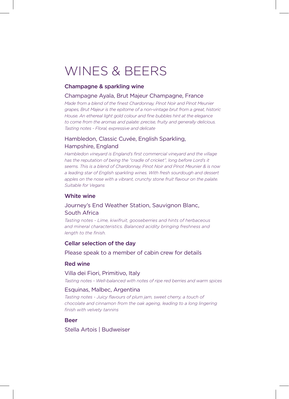## WINES & BEERS

#### Champagne & sparkling wine

#### Champagne Ayala, Brut Majeur Champagne, France

*Made from a blend of the finest Chardonnay, Pinot Noir and Pinot Meunier grapes, Brut Majeur is the epitome of a non-vintage brut from a great, historic House. An ethereal light gold colour and fine bubbles hint at the elegance to come from the aromas and palate: precise, fruity and generally delicious. Tasting notes - Floral, expressive and delicate*

#### Hambledon, Classic Cuvée, English Sparkling, Hampshire, England

*Hambledon vineyard is England's first commercial vineyard and the village has the reputation of being the "cradle of cricket", long before Lord's it seems. This is a blend of Chardonnay, Pinot Noir and Pinot Meunier & is now a leading star of English sparkling wines. With fresh sourdough and dessert*  apples on the nose with a vibrant, crunchy stone fruit flavour on the palate. *Suitable for Vegans* 

#### White wine

#### Journey's End Weather Station, Sauvignon Blanc, South Africa

*Tasting notes - Lime, kiwifruit, gooseberries and hints of herbaceous and mineral characteristics. Balanced acidity bringing freshness and length to the finish.*

#### Cellar selection of the day

Please speak to a member of cabin crew for details

#### Red wine

#### Villa dei Fiori, Primitivo, Italy

*Tasting notes - Well-balanced with notes of ripe red berries and warm spices*

#### Esquinas, Malbec, Argentina

*Tasting notes - Juicy flavours of plum jam, sweet cherry, a touch of chocolate and cinnamon from the oak ageing, leading to a long lingering finish with velvety tannins*

#### Beer

Stella Artois | Budweiser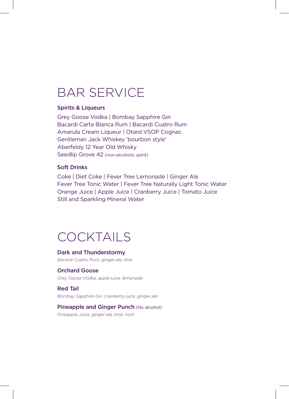## BAR SERVICE

#### Spirits & Liqueurs

Grey Goose Vodka | Bombay Sapphire Gin Bacardi Carta Blanca Rum | Bacardi Cuatro Rum Amarula Cream Liqueur | Otard VSOP Cognac Gentleman Jack Whiskey 'bourbon style' Aberfeldy 12 Year Old Whisky Seedlip Grove 42 (non-alcoholic spirit)

#### Soft Drinks

Coke | Diet Coke | Fever Tree Lemonade | Ginger Ale Fever Tree Tonic Water | Fever Tree Naturally Light Tonic Water Orange Juice | Apple Juice | Cranberry Juice | Tomato Juice Still and Sparkling Mineral Water

### COCKTAILS

#### Dark and Thunderstormy *Bacardi Cuatro Rum, ginger ale, lime*

Orchard Goose *Grey Goose Vodka, apple juice, lemonade* 

Red Tail *Bombay Sapphire Gin, cranberry juice, ginger ale* 

#### Pineapple and Ginger Punch (No alcohol) *Pineapple Juice, ginger ale, lime, mint*